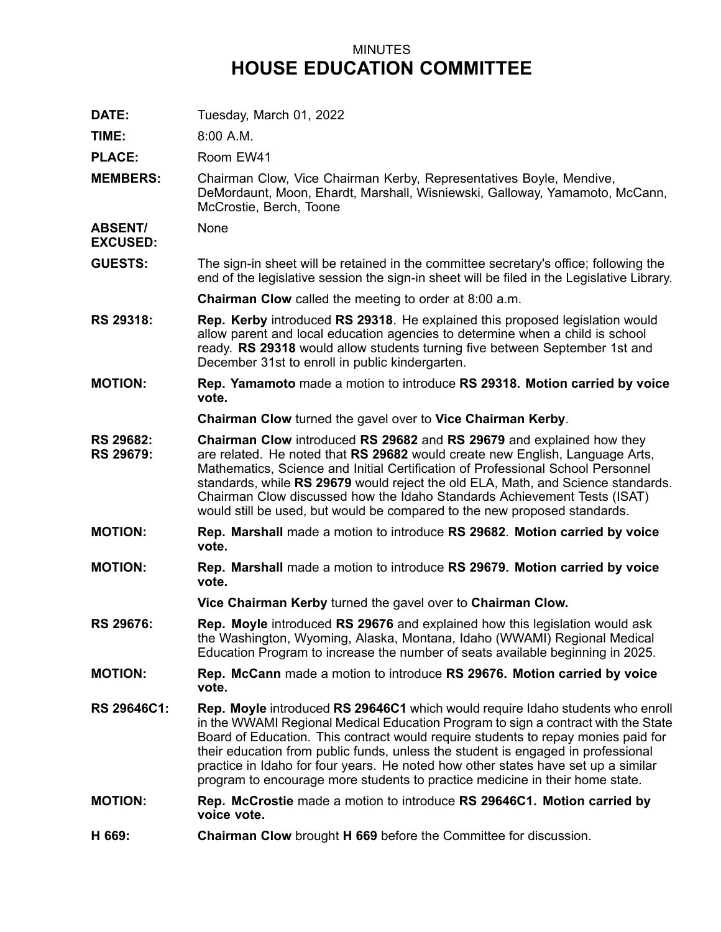## MINUTES **HOUSE EDUCATION COMMITTEE**

**DATE:** Tuesday, March 01, 2022

**TIME:** 8:00 A.M.

PLACE: Room EW41

**MEMBERS:** Chairman Clow, Vice Chairman Kerby, Representatives Boyle, Mendive, DeMordaunt, Moon, Ehardt, Marshall, Wisniewski, Galloway, Yamamoto, McCann, McCrostie, Berch, Toone

**ABSENT/ EXCUSED:** None

**GUESTS:** The sign-in sheet will be retained in the committee secretary's office; following the end of the legislative session the sign-in sheet will be filed in the Legislative Library.

**Chairman Clow** called the meeting to order at 8:00 a.m.

- **RS 29318: Rep. Kerby** introduced **RS 29318**. He explained this proposed legislation would allow parent and local education agencies to determine when <sup>a</sup> child is school ready. **RS 29318** would allow students turning five between September 1st and December 31st to enroll in public kindergarten.
- **MOTION: Rep. Yamamoto** made <sup>a</sup> motion to introduce **RS 29318. Motion carried by voice vote.**

**Chairman Clow** turned the gavel over to **Vice Chairman Kerby**.

- **RS 29682: RS 29679: Chairman Clow** introduced **RS 29682** and **RS 29679** and explained how they are related. He noted that **RS 29682** would create new English, Language Arts, Mathematics, Science and Initial Certification of Professional School Personnel standards, while **RS 29679** would reject the old ELA, Math, and Science standards. Chairman Clow discussed how the Idaho Standards Achievement Tests (ISAT) would still be used, but would be compared to the new proposed standards.
- **MOTION: Rep. Marshall** made <sup>a</sup> motion to introduce **RS 29682**. **Motion carried by voice vote.**
- **MOTION: Rep. Marshall** made <sup>a</sup> motion to introduce **RS 29679. Motion carried by voice vote.**

**Vice Chairman Kerby** turned the gavel over to **Chairman Clow.**

- **RS 29676: Rep. Moyle** introduced **RS 29676** and explained how this legislation would ask the Washington, Wyoming, Alaska, Montana, Idaho (WWAMI) Regional Medical Education Program to increase the number of seats available beginning in 2025.
- **MOTION: Rep. McCann** made <sup>a</sup> motion to introduce **RS 29676. Motion carried by voice vote.**
- **RS 29646C1: Rep. Moyle** introduced **RS 29646C1** which would require Idaho students who enroll in the WWAMI Regional Medical Education Program to sign <sup>a</sup> contract with the State Board of Education. This contract would require students to repay monies paid for their education from public funds, unless the student is engaged in professional practice in Idaho for four years. He noted how other states have set up <sup>a</sup> similar program to encourage more students to practice medicine in their home state.
- **MOTION: Rep. McCrostie** made <sup>a</sup> motion to introduce **RS 29646C1. Motion carried by voice vote.**
- **H 669: Chairman Clow** brought **H 669** before the Committee for discussion.